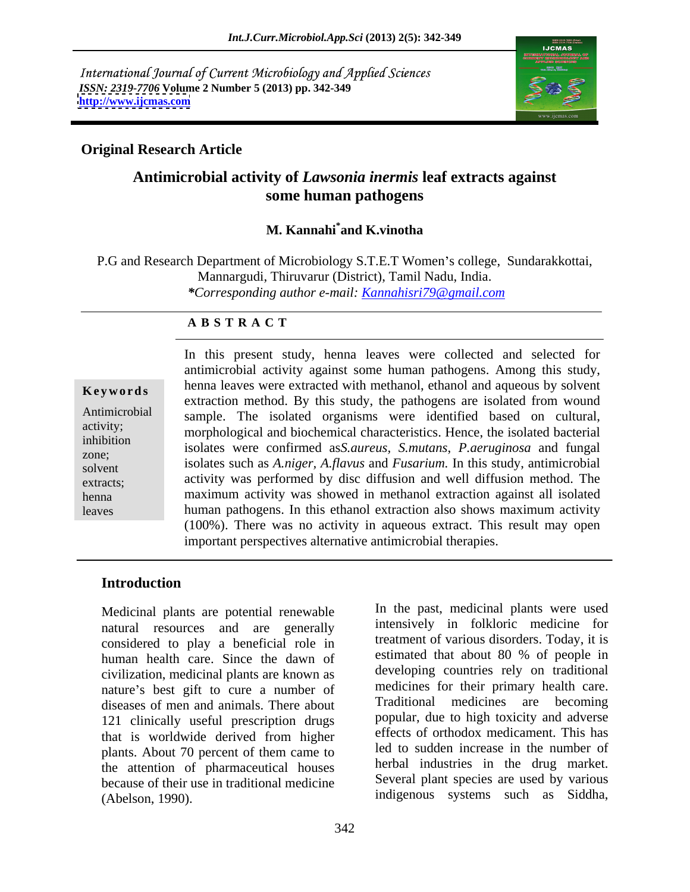International Journal of Current Microbiology and Applied Sciences *ISSN: 2319-7706* **Volume 2 Number 5 (2013) pp. 342-349 <http://www.ijcmas.com>**



### **Original Research Article**

## **Antimicrobial activity of** *Lawsonia inermis* **leaf extracts against some human pathogens**

### **M. Kannahi\* and K.vinotha**

P.G and Research Department of Microbiology S.T.E.T Women's college, Sundarakkottai, Mannargudi, Thiruvarur (District), Tamil Nadu, India. *\*Corresponding author e-mail: Kannahisri79@gmail.com*

### **A B S T R A C T**

**Keywords** henna leaves were extracted with methanol, ethanol and aqueous by solvent Antimicrobial sample. The isolated organisms were identified based on cultural, activity;<br>
morphological and biochemical characteristics. Hence, the isolated bacterial inhibition isolates were confirmed as*S.aureus, S.mutans*, *P.aeruginosa* and fungal  $\sum$  isolates were communed assumens, simularly, fueragmosa and fungaresolvent isolates such as *A.niger, A.flavus* and *Fusarium*. In this study, antimicrobial extracts; activity was performed by disc diffusion and well diffusion method. The henna **maximum activity was showed in methanol extraction against all isolated** leaves human pathogens. In this ethanol extraction also shows maximum activity In this present study, henna leaves were collected and selected for antimicrobial activity against some human pathogens. Among this study, extraction method. By this study, the pathogens are isolated from wound (100%). There was no activity in aqueous extract. This result may open important perspectives alternative antimicrobial therapies.

### **Introduction**

natural resources and are generally considered to play a beneficial role in the treatment of various disorders. Today, it is<br>human health care, Since the dawn of estimated that about 80 % of people in human health care. Since the dawn of civilization, medicinal plants are known as nature's best gift to cure a number of diseases of men and animals. There about 121 clinically useful prescription drugs that is worldwide derived from higher plants. About 70 percent of them came to the attention of pharmaceutical houses because of their use in traditional medicine Medicinal plants are potential renewable<br>
matural resources and are generally intensively in folkloric medicine for<br>
considered to play a beneficial role in<br>
teatment of various dissorders. Today, it is<br>
estimated that abo

Medicinal plants are potential renewable **In** the past, medicinal plants were used intensively in folkloric medicine for treatment of various disorders. Today, it is estimated that about 80 % of people in developing countries rely on traditional medicines for their primary health care. Traditional medicines are becoming popular, due to high toxicity and adverse effects of orthodox medicament. This has led to sudden increase in the number of herbal industries in the drug market. Several plant species are used by various indigenous systems such as Siddha,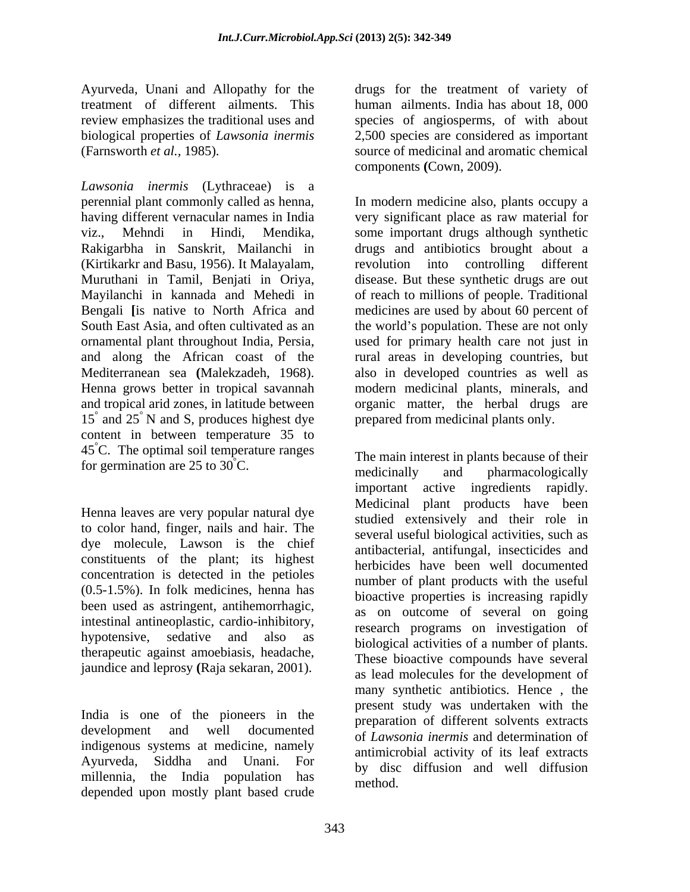*Lawsonia inermis* (Lythraceae) is a perennial plant commonly called as henna, In modern medicine also, plants occupy a having different vernacular names in India viz., Mehndi in Hindi, Mendika, some important drugs although synthetic Rakigarbha in Sanskrit, Mailanchi in drugs and antibiotics brought about a (Kirtikarkr and Basu, 1956). It Malayalam, Muruthani in Tamil, Benjati in Oriva. Mayilanchi in kannada and Mehedi in of reach to millions of people. Traditional Bengali **[**is native to North Africa and medicines are used by about 60 percent of South East Asia, and often cultivated as an the world's population. These are not only ornamental plant throughout India, Persia, used for primary health care not just in and along the African coast of the Mediterranean sea (Malekzadeh, 1968). Also in developed countries as well as<br>Henna grows better in tropical savannah modern medicinal plants, minerals, and and tropical arid zones, in latitude between organic matter, the herbal drugs are 15° and 25° N and S, produces highest dye content in between temperature 35 to 45°C. The optimal soil temperature ranges

Henna leaves are very popular natural dye to color hand, finger, nails and hair. The dye molecule, Lawson is the chief constituents of the plant; its highest concentration is detected in the petioles (0.5-1.5%). In folk medicines, henna has been used as astringent, antihemorrhagic, intestinal antineoplastic, cardio-inhibitory,<br>hypotensive, sedative and also as hypotensive, sedative and also as biological activities of a number of plants. therapeutic against amoebiasis, headache, jaundice and leprosy **(**Raja sekaran, 2001).

India is one of the pioneers in the indigenous systems at medicine, namely Ayurveda, Siddha and Unani. For millennia, the India population has depended upon mostly plant based crude

Ayurveda, Unani and Allopathy for the drugs for the treatment of variety of treatment of different ailments. This human ailments. India has about 18, 000 review emphasizes the traditional uses and species of angiosperms, of with about biological properties of *Lawsonia inermis* 2,500 species are considered as important (Farnsworth *et al.,* 1985). source of medicinal and aromatic chemical components **(**Cown, 2009).

 $\degree$  N and S, produces highest dye prepared from medicinal plants only. very significant place as raw material for revolution into controlling different disease. But these synthetic drugs are out rural areas in developing countries, but also in developed countries as well as modern medicinal plants, minerals, and prepared from medicinal plants only.

for germination are 25 to 30<sup>°</sup>C.<br>
medicinally and pharmacologically development and well documented of Lawsonia increase and determination of The main interest in plants because of their medicinally and pharmacologically important active ingredients rapidly. Medicinal plant products have been studied extensively and their role in several useful biological activities, such as antibacterial, antifungal, insecticides and herbicides have been well documented number of plant products with the useful bioactive properties is increasing rapidly as on outcome of several on going research programs on investigation of These bioactive compounds have several as lead molecules for the development of many synthetic antibiotics. Hence , the present study was undertaken with the preparation of different solvents extracts of *Lawsonia inermis* and determination of antimicrobial activity of its leaf extracts by disc diffusion and well diffusion method.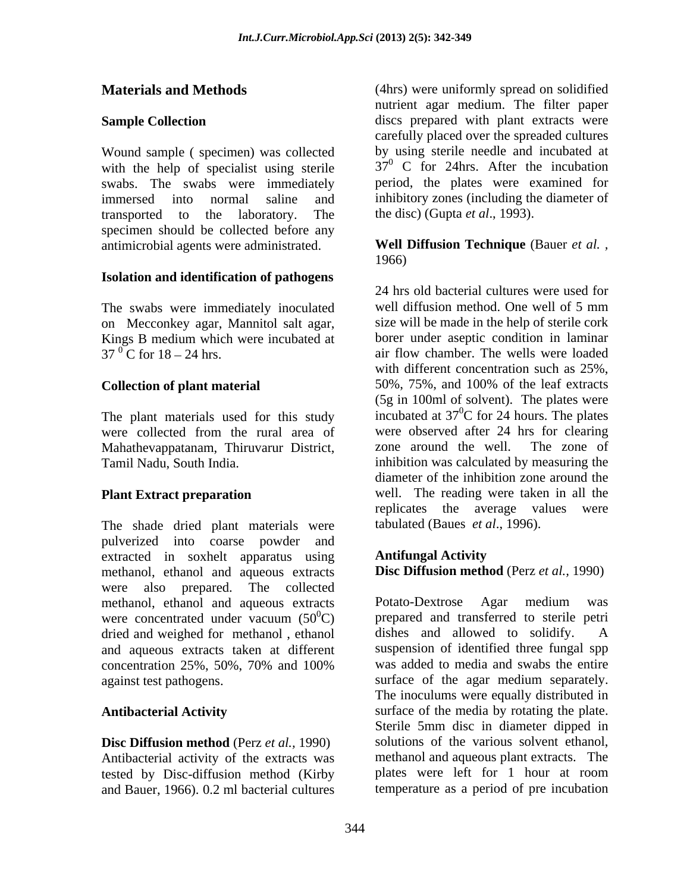Wound sample ( specimen) was collected with the help of specialist using sterile swabs. The swabs were immediately transported to the laboratory. The the disc) (Gupta *et al.*, 1993). specimen should be collected before any antimicrobial agents were administrated. **Well Diffusion Technique** (Bauer *et al. ,*

### **Isolation and identification of pathogens**

The swabs were immediately inoculated well diffusion method. One well of 5 mm on Mecconkey agar, Mannitol salt agar, Kings B medium which were incubated at  $37^{0}$  C for  $18 - 24$  hrs.

The plant materials used for this study Mahathevappatanam, Thiruvarur District, zone around the well. The zone of

The shade dried plant materials were pulverized into coarse powder and extracted in soxhelt apparatus using **Antifungal Activity** methanol, ethanol and aqueous extracts were also prepared. The collected methanol, ethanol and aqueous extracts Potato-Dextrose Agar medium was were concentrated under vacuum  $(50^0C)$  prepared and transferred to sterile dried and weighed for methanol ethanol dishes and allowed to solidify. dried and weighed for methanol , ethanol and aqueous extracts taken at different concentration 25%, 50%, 70% and 100% against test pathogens. Surface of the agar medium separately.

**Disc Diffusion method** (Perz *et al.,* 1990) Antibacterial activity of the extracts was methanol and aqueous plant extracts. The tested by Disc-diffusion method (Kirby plates were left for 1 hour at room tested by Disc-diffusion method (Kirby and Bauer, 1966). 0.2 ml bacterial cultures

**Materials and Methods** (4hrs) were uniformly spread on solidified **Sample Collection discs** prepared with plant extracts were immersed into normal saline and inhibitory zones (including the diameter of nutrient agar medium. The filter paper carefully placed over the spreaded cultures by using sterile needle and incubated at  $37<sup>0</sup>$  C for 24hrs. After the incubation period, the plates were examined for the disc) (Gupta *et al*., 1993).

## 1966)

 $37<sup>0</sup>$ C for 18 – 24 hrs. air flow chamber. The wells were loaded **Collection of plant material** 50%, 75%, and 100% of the leaf extracts were collected from the rural area of were observed after 24 hrs for clearing Tamil Nadu, South India. inhibition was calculated by measuring the **Plant Extract preparation** well. The reading were taken in all the 24 hrs old bacterial cultures were used for well diffusion method. One well of 5 mm size will be made in the help of sterile cork borer under aseptic condition in laminar with different concentration such as 25%, (5g in 100ml of solvent). The plates were incubated at  $37^0$ C for 24 hours. The plates  ${}^{0}C$  for 24 hours. The plates were observed after 24 hrs for clearing zone around the well. The zone of diameter of the inhibition zone around the replicates the average values were tabulated (Baues *et al*., 1996).

### **Antifungal Activity Disc Diffusion method** (Perz *et al.,* 1990)

 ${}^{0}C$ ) prepared and transferred to sterile petri Antibacterial Activity **Surface** of the media by rotating the plate. Potato-Dextrose Agar medium was dishes and allowed to solidify. A suspension of identified three fungal spp was added to media and swabs the entire The inoculums were equally distributed in Sterile 5mm disc in diameter dipped in solutions of the various solvent ethanol, methanol and aqueous plant extracts. The plates were left for 1 hour at room temperature as a period of pre incubation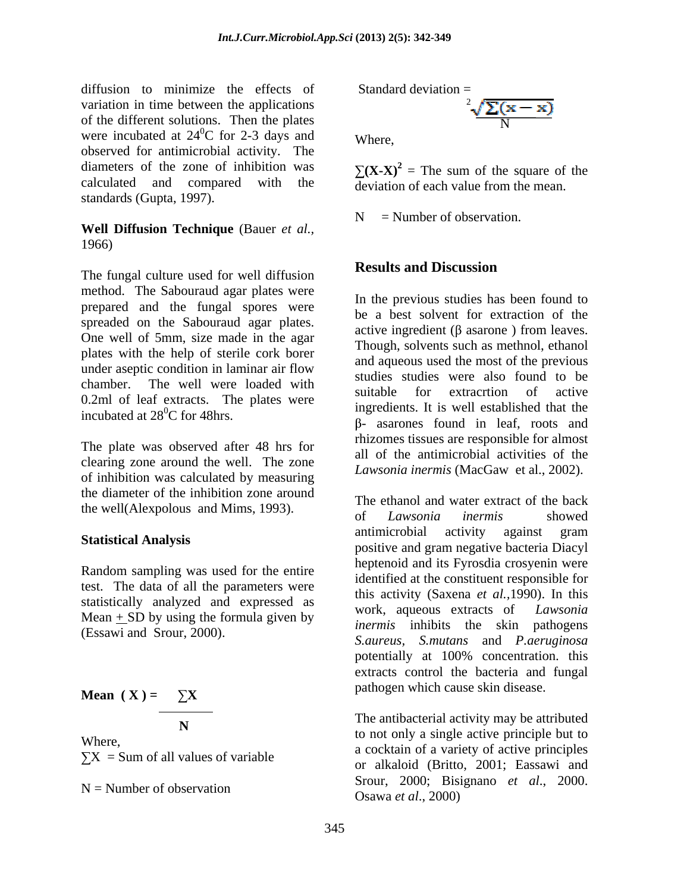diffusion to minimize the effects of variation in time between the applications of the different solutions. Then the plates were incubated at  $24^{\circ}$ C for 2-3 days and Where.  ${}^{0}C$  for 2-3 days and Where observed for antimicrobial activity. The diameters of the zone of inhibition was  $\sum (X - X)^2 =$ The sum of the square of the calculated and compared with the deviation of each value from the mean. standards (Gupta, 1997).

### **Well Diffusion Technique** (Bauer *et al.,* 1966)

The fungal culture used for well diffusion **Results and Discussion** method. The Sabouraud agar plates were prepared and the fungal spores were spreaded on the Sabouraud agar plates.<br>active ingredient (B asarone) from leaves. One well of 5mm, size made in the agar plates with the help of sterile cork borer enamber. The went were loaded what<br>0.2ml of leaf extracts. The plates were incubated at  $28^{\circ}$ C for 48hrs.

The plate was observed after 48 hrs for clearing zone around the well. The zone of inhibition was calculated by measuring the diameter of the inhibition zone around

Random sampling was used for the entire test. The data of all the parameters were statistically analyzed and expressed as work, aqueous extracts of *Lawsonia* Mean  $+$  SD by using the formula given by (Essawi and Srour, 2000).

Mean 
$$
(X) = \sum_{N}
$$
  
The antibacterial activity may be attributed

Standard deviation 
$$
=
$$

N<sub>N</sub> Where,

 $(X-X)^2$  = The sum of the square of the

 $\sqrt[2]{\sum(x-x)}$ 

 $N =$  Number of observation.

### **Results and Discussion**

under aseptic condition in laminar air flow and aquious used the most of the previous chamber. The well were loaded with studies studies were also found to be In the previous studies has been found to be a best solvent for extraction of the active ingredient ( $\beta$  asarone) from leaves. Though, solvents such as methnol, ethanol and aqueous used the most of the previous studies studies were also found to be suitable for extracrtion of active ingredients. It is well established that the  $β$ - asarones found in leaf, roots and rhizomes tissues are responsible for almost all of the antimicrobial activities of the *Lawsonia inermis* (MacGaw et al., 2002).

the well(Alexpolous and Mims, 1993).<br>of *Lawsonia inermis* showed **Statistical Analysis**<br>
positive and gram negative bacteria Diacyl The ethanol and water extract of the back of *Lawsonia inermis* showed antimicrobial activity against gram heptenoid and its Fyrosdia crosyenin were identified at the constituent responsible for this activity (Saxena *et al.,*1990). In this work, aqueous extracts of *Lawsonia inermis* inhibits the skin pathogens *S.aureus, S.mutans* and *P.aeruginosa*  potentially at 100% concentration. this extracts control the bacteria and fungal pathogen which cause skin disease.

**The antibacterial activity may be attributed** N<br> **N**<br> **Example 2018 Example 2018 Contract to the potential delivery image of angle 2018 Contract to** Where,<br> $\sum_{n=1}^{\infty}$  a cocktain of a variety of active principles  $X = Sum of all values of variable$  a cockum of a validy of active principles  $N =$ Number of observation  $Q_{\text{2000}}$   $Q_{\text{2000}}$   $Q_{\text{2000}}$   $Q_{\text{2000}}$ to not only a single active principle but to or alkaloid (Britto, 2001; Eassawi and Srour, 2000; Bisignano *et al*., 2000. Osawa *et al*., 2000)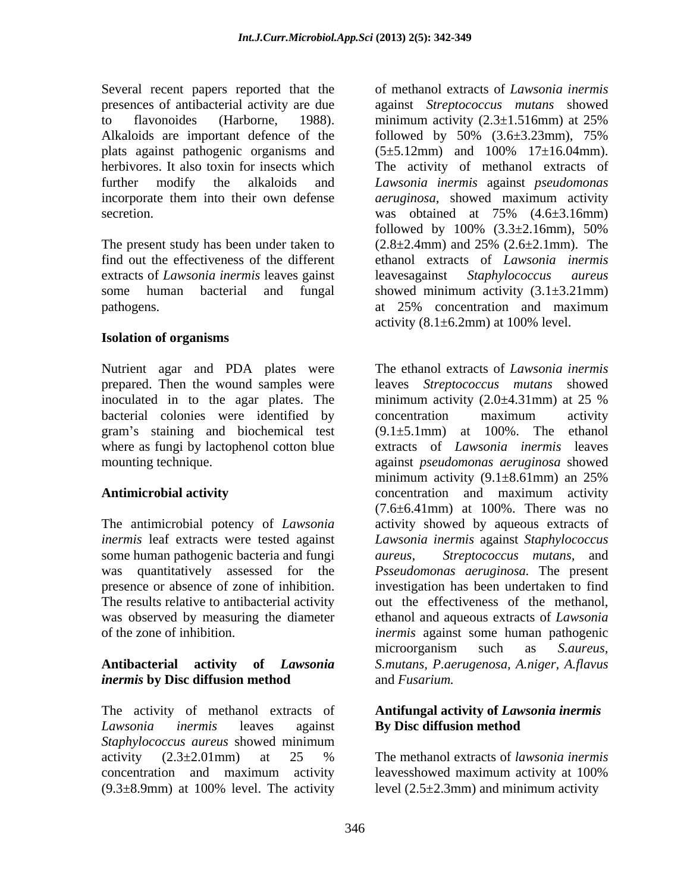Several recent papers reported that the to flavonoides (Harborne, 1988). minimum activity  $(2.3 \pm 1.516$ mm) at  $25\%$ Alkaloids are important defence of the followed by  $50\%$   $(3.6\pm3.23$ mm),  $75\%$ plats against pathogenic organisms and  $(5\pm5.12 \text{mm})$  and  $100\%$   $17\pm16.04 \text{mm}$ ). secretion. was obtained at 75%  $(4.6\pm3.16$ mm)

The present study has been under taken to  $(2.8 \pm 2.4 \text{mm})$  and  $25\%$   $(2.6 \pm 2.1 \text{mm})$ . The extracts of *Lawsonia inermis* leaves gainst pathogens. at 25% concentration and maximum

### **Isolation of organisms**

Nutrient agar and PDA plates were inoculated in to the agar plates. The minimum activity  $(2.0\pm4.31$  mm at  $25\%$ bacterial colonies were identified by concentration maximum activity gram's staining and biochemical test

The antimicrobial potency of *Lawsonia*  some human pathogenic bacteria and fungi *aureus*, presence or absence of zone of inhibition.

# *inermis* **by Disc diffusion method**

The activity of methanol extracts of **Antifungal activity of** *Lawsonia inermis Lawsonia inermis* leaves against *Staphylococcus aureus* showed minimum activity  $(2.3 \pm 2.01 \text{mm})$  at 25 % The methanol extracts of *lawsonia inermis* concentration and maximum activity  $(9.3\pm8.9$ mm) at 100% level. The activity

presences of antibacterial activity are due against *Streptococcus mutans* showed herbivores. It also toxin for insects which The activity of methanol extracts of further modify the alkaloids and *Lawsonia inermis* against *pseudomonas*  incorporate them into their own defense *aeruginosa,* showed maximum activity find out the effectiveness of the different ethanol extracts of *Lawsonia inermis* some human bacterial and fungal showed minimum activity (3.1±3.21mm) of methanol extracts of *Lawsonia inermis* minimum activity  $(2.3 \pm 1.516$ mm) at 25% followed by 50% (3.6±3.23mm), 75%  $(5\pm 5.12$ mm) and  $100\%$   $17\pm 16.04$ mm). was obtained at 75% (4.6±3.16mm) followed by  $100\%$   $(3.3\pm2.16$ mm),  $50\%$  $(2.8\pm2.4\text{mm})$  and  $25\%$   $(2.6\pm2.1\text{mm})$ . The leavesagainst *Staphylococcus aureus* at 25% concentration and maximum activity  $(8.1\pm6.2$ mm) at 100% level.

prepared. Then the wound samples were leaves *Streptococcus mutans* showed where as fungi by lactophenol cotton blue extracts of *Lawsonia inermis*leaves mounting technique. against *pseudomonas aeruginosa* showed **Antimicrobial activity** concentration and maximum activity *inermis* leaf extracts were tested against *Lawsonia inermis* against *Staphylococcus*  was quantitatively assessed for the *Psseudomonas aeruginosa.* The present The results relative to antibacterial activity out the effectiveness of the methanol, was observed by measuring the diameter ethanol and aqueous extracts of *Lawsonia*  of the zone of inhibition. *inermis* against some human pathogenic **Antibacterial activity of** *Lawsonia S.mutans, P.aerugenosa, A.niger, A.flavus* The ethanol extracts of *Lawsonia inermis* minimum activity  $(2.0\pm4.31$ mm) at 25 % concentration maximum activity  $(9.1\pm5.1$ mm) at  $100\%$ . The ethanol minimum activity (9.1±8.61mm) an 25% concentration and maximum activity (7.6±6.41mm) at 100%. There was no activity showed by aqueous extracts of *Streptococcus mutans*, and investigation has been undertaken to find microorganism such as *S.aureus,*  and *Fusarium.*

## **By Disc diffusion method**

The methanol extracts of *lawsonia inermis* leavesshowed maximum activity at 100% level  $(2.5\pm 2.3$ mm) and minimum activity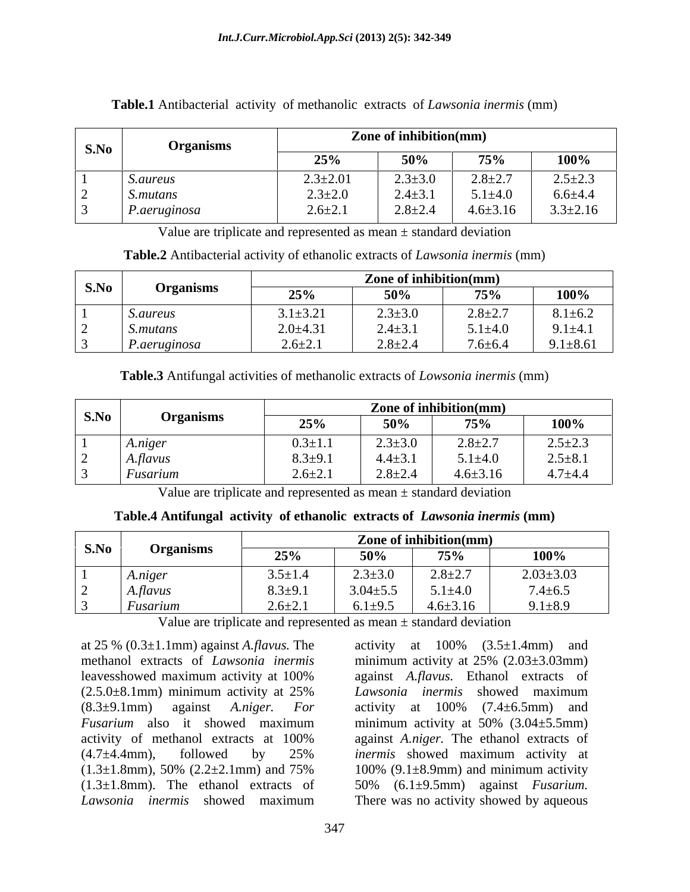| <b>S.No</b> | <b>Organisms</b> | Zone of inhibition(mm) |                    |                |                |
|-------------|------------------|------------------------|--------------------|----------------|----------------|
|             |                  |                        | 500/               | 75%            | 100%           |
|             | <i>S.aureus</i>  | $2.3 \pm 2.01$         | $2.3 \pm 3.0$      | $2.8 \pm 2.7$  | $2.5 \pm 2.3$  |
|             | S.mutans         | $2.3 \pm 2.0$          | $2.4 \pm 3.1$      | $5.1 \pm 4.0$  | $6.6 + 4.4$    |
|             | P.aeruginosa     | $2.6 \pm 2.1$          | $2Q+2A$<br>2.0⊥2.4 | $4.6 \pm 3.16$ | $3.3 \pm 2.16$ |

### **Table.1** Antibacterial activity of methanolic extracts of *Lawsonia inermis* (mm)

Value are triplicate and represented as mean  $\pm$  standard deviation

**Table.2** Antibacterial activity of ethanolic extracts of *Lawsonia inermis* (mm)

|                    |                | Zone of inhibition(mm)      |               |                                |
|--------------------|----------------|-----------------------------|---------------|--------------------------------|
| S.No Organisms     | 25%            | $50\%$                      | 75%           | $\frac{100\%}{ }$              |
| 1 S. <i>aureus</i> | $3.1 \pm 3.21$ |                             | $2.8 \pm 2.7$ |                                |
| 2 S.mutans         | $2.0 \pm 4.31$ | $2.3\pm3.0$<br>2.4 $\pm3.1$ | $5.1 \pm 4.0$ | $8.1 \pm 6.2$<br>9.1 $\pm 4.1$ |
| 3 P.aeruginosa     | $26+21$        | $2.8 \pm 2.4$               | $7.6 \pm 6.4$ | $9.1 \pm 8.61$                 |

**Table.3** Antifungal activities of methanolic extracts of *Lowsonia inermis* (mm)

|      |                     |               |               | ne of inhibition(mm) |               |
|------|---------------------|---------------|---------------|----------------------|---------------|
| S.No |                     | 25%           | 50%           |                      | $100\%$       |
|      | A.niger             | $0.3 \pm 1.1$ | $2.3 \pm 3.0$ | $2.8 + 2.7$          | $2.5 \pm 2.3$ |
|      | 2 $A$ <i>flavus</i> | $8.3 \pm 9.1$ | $4.4 \pm 3.1$ | $5.1 \pm 4.0$        | $2.5 \pm 8.1$ |
|      | Fusarium            | $2.6 \pm 2.1$ | $2.8 \pm 2.4$ | $4.6 \pm 3.16$       | $4.7 + 4.4$   |

Value are triplicate and represented as mean  $\pm$  standard deviation

| Table.<br>Antifungal<br>activity | of ethanolic<br>extracts of<br>t Lawsonia inermis (mm) |  |  |
|----------------------------------|--------------------------------------------------------|--|--|
|                                  |                                                        |  |  |

| the control of the control of the con-   |                       |                | Zone of inhibition(mm)       |                 |
|------------------------------------------|-----------------------|----------------|------------------------------|-----------------|
| $\vert$ S.No $\vert$<br><b>Organisms</b> | $\Delta E0$ /<br>25 R | 50%            | 75%                          | $100\%$         |
| A.niger                                  | $3.5 \pm 1.4$         | $2.3 \pm 3.0$  | 2.8 $\pm$ 2.7                | $2.03 \pm 3.03$ |
| A.flavus                                 | $8.3 + 9.1$           | $3.04 \pm 5.5$ | $5.1 \pm 4.0$                | $7.4 \pm 6.5$   |
| Fusarium                                 | $2.6 \pm 2.1$         |                | 6.1 $\pm$ 9.5 4.6 $\pm$ 3.16 | $9.1 \pm 8.9$   |

Value are triplicate and represented as mean  $\pm$  standard deviation

at 25 % (0.3±1.1mm) against *A.flavus.* The (8.3±9.1mm) against *A.niger. For*

methanol extracts of *Lawsonia inermis*  minimum activity at 25% (2.03±3.03mm) leavesshowed maximum activity at 100% against A.flavus. Ethanol extracts of  $(2.5.0\pm8.1$ mm) minimum activity at 25% Lawsonia inermis showed maximum *Fusarium* also it showed maximum minimum activity at 50% (3.04±5.5mm) activity of methanol extracts at 100% against A.niger. The ethanol extracts of  $(4.7\pm4.4\text{mm})$ , followed by 25% *inermis* showed maximum activity at  $(1.3\pm1.8$ mm), 50%  $(2.2\pm2.1$ mm) and 75%  $100\%$   $(9.1\pm8.9$ mm) and minimum activity (1.3±1.8mm). The ethanol extracts of 50% (6.1±9.5mm) against *Fusarium. Lawsonia inermis* showed maximum There was no activity showed by aqueousactivity at  $100\%$   $(3.5\pm1.4$ mm) and against *A.flavus.* Ethanol extracts of *Lawsonia inermis* showed maximum activity at  $100\%$   $(7.4 \pm 6.5 \text{mm})$  and against *A.niger.* The ethanol extracts of *inermis* showed maximum activity at 100% (9.1±8.9mm) and minimum activity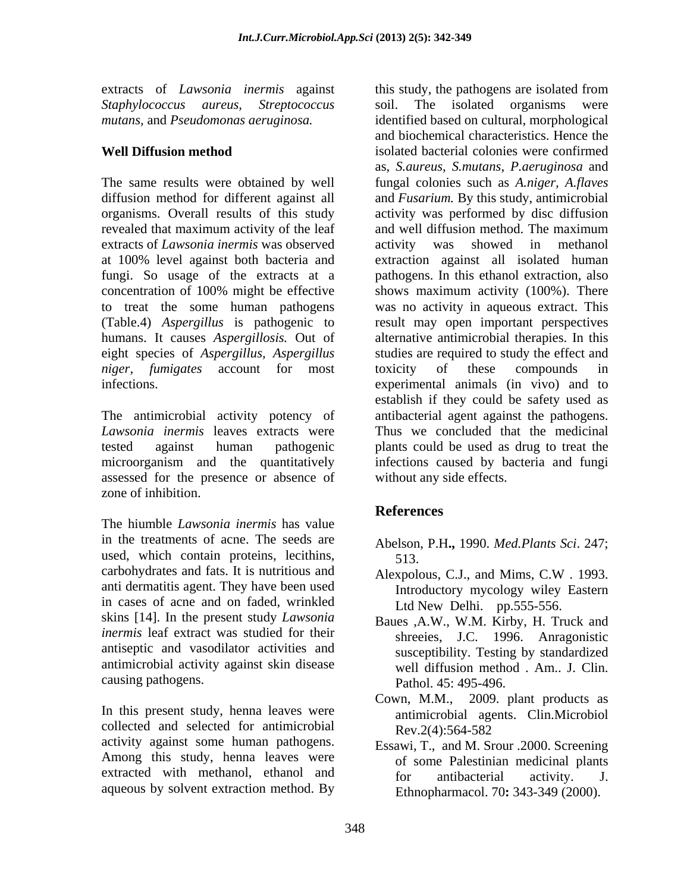extracts of *Lawsonia inermis* against

revealed that maximum activity of the leaf and well diffusion method. The maximum extracts of *Lawsonia inermis* was observed *niger, fumigates* account for most

assessed for the presence or absence of zone of inhibition.

The hiumble *Lawsonia inermis* has value in the treatments of acne. The seeds are used, which contain proteins, lecithins, 513. carbohydrates and fats. It is nutritious and Alexpolous, C.J., and Mims, C.W . 1993. anti dermatitis agent. They have been used in cases of acne and on faded, wrinkled skins [14]. In the present study *Lawsonia inermis* leaf extract was studied for their antiseptic and vasodilator activities and antimicrobial activity against skin disease

In this present study, henna leaves were collected and selected for antimicrobial  $\text{Rev}.2(4):564-582$ activity against some human pathogens. Among this study, henna leaves were extracted with methanol, ethanol and for antibacterial activity. J. aqueous by solvent extraction method. By

*Staphylococcus aureus, Streptococcus* soil. The isolated organisms were *mutans,* and *Pseudomonas aeruginosa.* identified based on cultural, morphological **Well Diffusion method** isolated bacterial colonies were confirmed The same results were obtained by well fungal colonies such as *A.niger, A.flaves* diffusion method for different against all and *Fusarium.* By this study, antimicrobial organisms. Overall results of this study activity was performed by disc diffusion at 100% level against both bacteria and extraction against all isolated human fungi. So usage of the extracts at a pathogens. In this ethanol extraction, also concentration of 100% might be effective to treat the some human pathogens was no activity in aqueous extract. This (Table.4) *Aspergillus* is pathogenic to result may open important perspectives humans. It causes *Aspergillosis.* Out of alternative antimicrobial therapies. In this eight species of *Aspergillus, Aspergillus* studies are required to study the effect and infections. experimental animals (in vivo) and to The antimicrobial activity potency of antibacterial agent against the pathogens. *Lawsonia inermis* leaves extracts were Thus we concluded that the medicinal tested against human pathogenic plants could be used as drug to treat the microorganism and the quantitatively infections caused by bacteria and fungi this study, the pathogens are isolated from and biochemical characteristics. Hence the as, *S.aureus, S.mutans*, *P.aeruginosa* and and well diffusion method. The maximum activity was showed in methanol shows maximum activity (100%). There toxicity of these compounds in establish if they could be safety used as without any side effects.

### **References**

- Abelson, P.H**.,** 1990. *Med.Plants Sci*. 247; 513.
- Alexpolous, C.J., and Mims, C.W . 1993. Introductory mycology wiley Eastern Ltd New Delhi. pp.555-556.
- causing pathogens. Pathol. 45: 495-496. Baues ,A.W., W.M. Kirby, H. Truck and shreeies, J.C. 1996. Anragonistic susceptibility. Testing by standardized well diffusion method . Am.. J. Clin.
	- Cown, M.M., 2009. plant products as antimicrobial agents. Clin.Microbiol Rev.2(4):564-582
	- Essawi, T., and M. Srour .2000. Screening of some Palestinian medicinal plants for antibacterial activity. J. Ethnopharmacol. 70**:** 343-349 (2000).